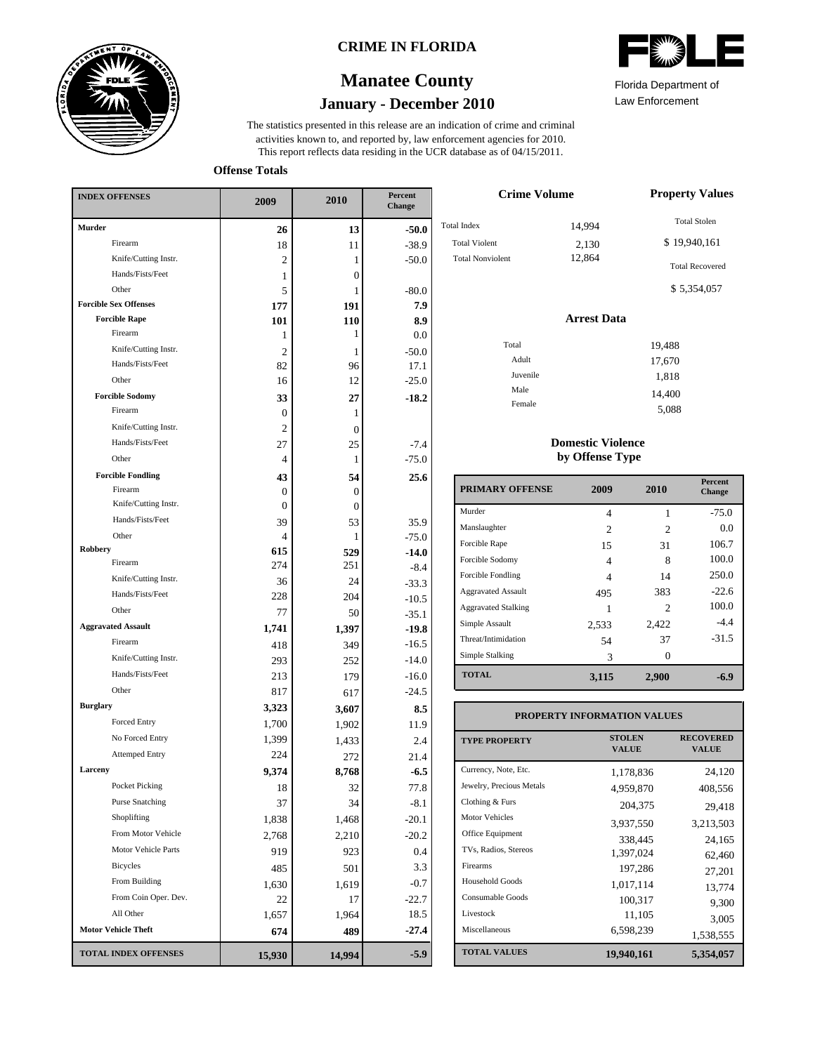

### **CRIME IN FLORIDA**

# **January - December 2010 Manatee County**

This report reflects data residing in the UCR database as of 04/15/2011. activities known to, and reported by, law enforcement agencies for 2010. The statistics presented in this release are an indication of crime and criminal



Law Enforcement Florida Department of

5,088

**Offense Totals**

| <b>INDEX OFFENSES</b>        | 2009             | 2010             | Percent<br><b>Change</b> |  |
|------------------------------|------------------|------------------|--------------------------|--|
| <b>Murder</b>                | 26               | 13               | $-50.0$                  |  |
| Firearm                      | 18               | 11               | $-38.9$                  |  |
| Knife/Cutting Instr.         | 2                | 1                | $-50.0$                  |  |
| Hands/Fists/Feet             | 1                | $\boldsymbol{0}$ |                          |  |
| Other                        | 5                | 1                | $-80.0$                  |  |
| <b>Forcible Sex Offenses</b> | 177              | 191              | 7.9                      |  |
| <b>Forcible Rape</b>         | 101              | 110              | 8.9                      |  |
| Firearm                      | 1                | 1                | 0.0                      |  |
| Knife/Cutting Instr.         | 2                | 1                | $-50.0$                  |  |
| Hands/Fists/Feet             | 82               | 96               | 17.1                     |  |
| Other                        | 16               | 12               | $-25.0$                  |  |
| <b>Forcible Sodomy</b>       | 33               | 27               | $-18.2$                  |  |
| Firearm                      | 0                | 1                |                          |  |
| Knife/Cutting Instr.         | 2                | $\mathbf{0}$     |                          |  |
| Hands/Fists/Feet             | 27               | 25               | $-7.4$                   |  |
| Other                        | 4                | 1                | $-75.0$                  |  |
| <b>Forcible Fondling</b>     | 43               | 54               | 25.6                     |  |
| Firearm                      | $\boldsymbol{0}$ | $\boldsymbol{0}$ |                          |  |
| Knife/Cutting Instr.         | $\boldsymbol{0}$ | $\mathbf{0}$     |                          |  |
| Hands/Fists/Feet             | 39               | 53               | 35.9                     |  |
| Other                        | 4                | 1                | $-75.0$                  |  |
| Robbery                      | 615              | 529              | $-14.0$                  |  |
| Firearm                      | 274              | 251              | $-8.4$                   |  |
| Knife/Cutting Instr.         | 36               | 24               | $-33.3$                  |  |
| Hands/Fists/Feet             | 228              | 204              | $-10.5$                  |  |
| Other                        | 77               | 50               | $-35.1$                  |  |
| <b>Aggravated Assault</b>    | 1,741            | 1,397            | $-19.8$                  |  |
| Firearm                      | 418              | 349              | $-16.5$                  |  |
| Knife/Cutting Instr.         | 293              | 252              | $-14.0$                  |  |
| Hands/Fists/Feet             | 213              | 179              | $-16.0$                  |  |
| Other                        | 817              | 617              | $-24.5$                  |  |
| <b>Burglary</b>              | 3,323            | 3,607            | 8.5                      |  |
| Forced Entry                 | 1,700            | 1,902            | 11.9                     |  |
| No Forced Entry              | 1,399            | 1,433            | 2.4                      |  |
| <b>Attemped Entry</b>        | 224              | 272              | 21.4                     |  |
| Larceny                      | 9,374            | 8,768            | $-6.5$                   |  |
| Pocket Picking               | 18               | 32               | 77.8                     |  |
| <b>Purse Snatching</b>       | 37               | 34               | $-8.1$                   |  |
| Shoplifting                  | 1,838            | 1,468            | $-20.1$                  |  |
| From Motor Vehicle           | 2,768            | 2,210            | $-20.2$                  |  |
| Motor Vehicle Parts          | 919              | 923              | 0.4                      |  |
| Bicycles                     | 485              | 501              | 3.3                      |  |
| From Building                | 1,630            | 1,619            | $-0.7$                   |  |
| From Coin Oper. Dev.         | 22               | 17               | $-22.7$                  |  |
| All Other                    | 1,657            | 1,964            | 18.5                     |  |
| <b>Motor Vehicle Theft</b>   | 674              | 489              | $-27.4$                  |  |
| <b>TOTAL INDEX OFFENSES</b>  | 15,930           | 14,994           | $-5.9$                   |  |

| <b>Crime Volume</b>     | <b>Property Values</b> |                        |
|-------------------------|------------------------|------------------------|
| <b>Total Index</b>      | 14,994                 | <b>Total Stolen</b>    |
| <b>Total Violent</b>    | 2,130                  | \$19,940,161           |
| <b>Total Nonviolent</b> | 12,864                 | <b>Total Recovered</b> |
|                         |                        | \$5,354,057            |
|                         | <b>Arrest Data</b>     |                        |
| Total                   |                        | 19,488                 |
| Adult                   |                        | 17,670                 |
| Juvenile                |                        | 1,818                  |
| Male                    |                        | 14,400                 |
| Female                  |                        | $-\circ\circ\circ$     |

#### **Domestic Violence by Offense Type**

| <b>PRIMARY OFFENSE</b>     | 2009  | 2010           | <b>Percent</b><br>Change |
|----------------------------|-------|----------------|--------------------------|
| Murder                     | 4     | 1              | $-75.0$                  |
| Manslaughter               | 2     | 2              | 0.0                      |
| Forcible Rape              | 15    | 31             | 106.7                    |
| Forcible Sodomy            | 4     | 8              | 100.0                    |
| Forcible Fondling          | 4     | 14             | 250.0                    |
| <b>Aggravated Assault</b>  | 495   | 383            | $-22.6$                  |
| <b>Aggravated Stalking</b> |       | $\mathfrak{D}$ | 100.0                    |
| Simple Assault             | 2,533 | 2,422          | $-4.4$                   |
| Threat/Intimidation        | 54    | 37             | $-31.5$                  |
| Simple Stalking            | 3     | 0              |                          |
| <b>TOTAL</b>               | 3,115 | 2,900          | -6.9                     |

#### **TOTAL VALUES VALUE PROPERTY STOLEN RECOVERED PROPERTY INFORMATION VALUES** Currency, Note, Etc. Jewelry, Precious Metals Clothing & Furs Motor Vehicles Office Equipment TVs, Radios, Stereos Firearms Household Goods Consumable Goods Livestock Miscellaneous 1,178,836 24,120 4,959,870 408,556 204,375 29,418 3,937,550 3,213,503 338,445 24,165 1,397,024 62,460 197,286 27,201 1,017,114 13,774 100,317 9,300 11,105 3,005<br>6,598,239 1.529.555 1,538,555 **19,940,161 5,354,057**